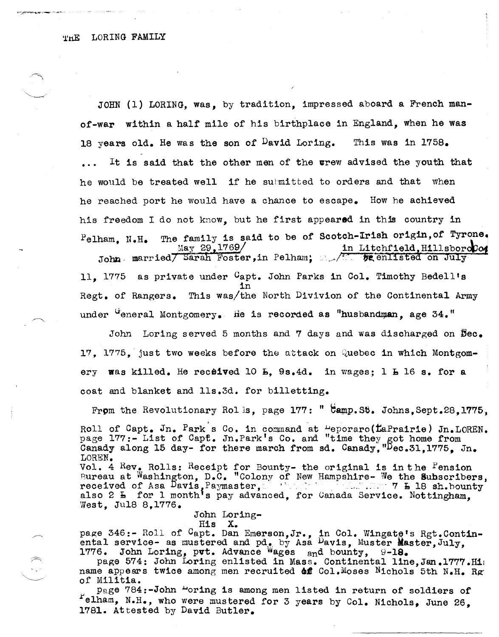JOHN (1) LORING, was, by tradition, impressed aboard a French manof-war within a half mile of his birthplace in England, when he was 18 years old. He was the son of <sup>D</sup>avid Loring. This was in 1758. It is said that the other men of the wrew advised the youth that he would be treated well if he submitted to orders and that when he reached port he would have a chance to escape. How he achieved his freedom I do not know, but he first appeared in this country in  $P$ elham, N.H. The family is said to be of Scotch-Irish origin, of Tyrone.  $\text{May } 29,1769/$ John married Sarah Foster, in Pelham;  $\sqrt{1 - p}$  enlisted on July in Litchfield, HillsboroCo4 11, 1775 as private under Capt. John Parks in Col. Timothy Bedell's in

Regt. of Rangers. This was/the North Divivion of the Continental Army under  $G$  under  $G$  and  $G$  merg is recorded as "husbandman, age 34."

John Loring served 5 months and 7 days and was discharged on  $\texttt{Dec}_\bullet$ 17, 1775, just two weeks before the attack on Quebec in which Montgomery was killed. He received 10  $L$ , 9s.4d. in wages; 1  $L$  16 s. for a coat and blanket and lls.3d. for billetting.

From the Revolutionary Rolls, page  $177:$  "  $\texttt{pamp.56.}$  Johns, Sept.28,1775,

Roll of Capt. Jn. Park's Co. in command at  $\text{``eporaro(}$ EaPrairie) Jn. LOREN. page 177:- List of Capt. Jn.Park's Co. and "time they got home from Canady along 15 day- for there march from sd. Canady, "Dec.31,1775. Jn. LOREN.

Vol. 4 Rev. Rolls: Receipt for Bounty- the original is in the Pension Bureau at Washington, D.C. "Colony of New Hampshire- We the Subscribers, received of Asa Davis, Paymaster, .... ... ... ... ... 7 h 18 sh.bounty also 2 h for 1 monthts pay advanced, for Canada Service. Nottingham, West, Jul8 8.1776.

John Loring-

His X.

page 346:- Roll of <sup>C</sup>apt. Dan Emerson,Jr., in Col. Wingate's Rgt.Contin-<br>ental service- as mustered and pd., by Asa <sup>D</sup>avis, Muster Master, July,  $1776.$  John Loring, put. Advance Wages and bounty, 9-18.

page 574: John Loring enlisted in Mass. Continental line, Jan. 1777. Hi: name appears twice among men recruited **of** Col.Moses Nichols 5th N.H. Rg of Militia.

page 784:-John "oring is among men listed in return of soldiers of  $F$ elham, N.H., who were mustered for 3 years by Col. Nichols, June 26, 1781. Attested by David Butler.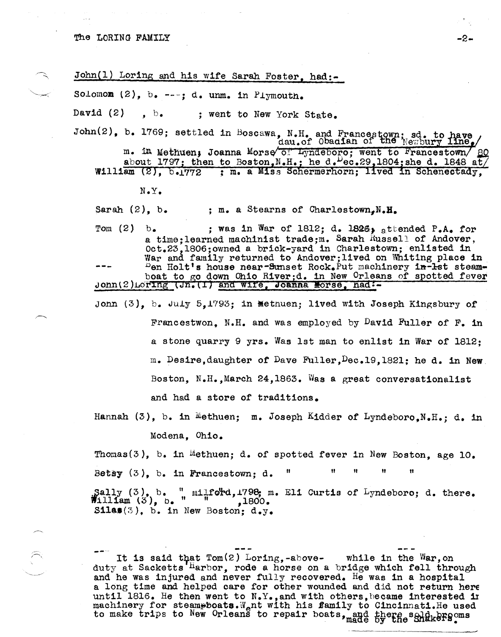| John(1) Loring and his wife Sarah Foster, had:-                                                                                                                                                   |
|---------------------------------------------------------------------------------------------------------------------------------------------------------------------------------------------------|
| Solomom $(2)$ , b. ---; d. unm. in Plymouth.                                                                                                                                                      |
| David $(2)$ , b., went to New York State.                                                                                                                                                         |
| John(2), b. 1769; settled in Boscawa, N.H. and Francestown; sd. to have                                                                                                                           |
| m. in Methuen; Joanna Morse of Lyndeboro; went to Francestown/ 80<br>about 1797; then to Boston, N.H.; he d. $\text{Vec-29}$ , 1804; she d. 1848 at/                                              |
| William (2), b.1772 ; m. a Miss Schermerhorn; lived in Schenectady,                                                                                                                               |
| $N \cdot Y$ .                                                                                                                                                                                     |
| Sarah $(2)$ , b.<br>; m. a Stearns of Charlestown.N.H.                                                                                                                                            |
| Tom $(2)$ b.<br>; was in War of 1812; d. 1826, attended P.A. for<br>a time; learned machinist trade; m. Sarah Russell of Andover,<br>Oct.23, 1806; owned a brick-yard in Charlestown; enlisted in |
| War and family returned to Andover; lived on Whiting place in<br>Den Holt's house near-Sunset Rock. Put machinery in-lst steam-<br>boat to go down Ohio River;d. in New Orleans of spotted fever  |
| John(2)Loring (Jn. (1) and wife, Joanna Morse, had:-                                                                                                                                              |
| John $(3)$ , b. July 5,1793; in Methuen; lived with Joseph Kingsbury of                                                                                                                           |
| Francestwon, N.H. and was employed by David Fuller of F. in                                                                                                                                       |
| a stone quarry 9 yrs. Was lst man to enlist in War of 1812:                                                                                                                                       |
| m. Desire, daughter of Dave Fuller, Dec. 19, 1821; he d. in New                                                                                                                                   |
|                                                                                                                                                                                                   |

and had a store of traditions.

Hannah  $(3)$ , b. in Methuen; m. Joseph Kidder of Lyndeboro.N.H.; d. in

Boston, N.H., March 24,1863. Was a great conversationalist

Modena, Ohio.

Thomas(3), b. in Methuen; d. of spotted fever in New Boston, age  $10$ . Betsy  $(3)$ , b. in Francestown; d. " " " " " Sally  $(3)$ , b. "  $m11$ fo<sup>1</sup>rd, 1798; m. Eli Curtis of Lyndeboro; d. there.<br>William  $(3)$ , b. " ,1800.  $$11a$(3)$$ , b. in New Boston;  $d.y$ .

It is said that  $Tom(2)$  Loring,-above- while in the War, on duty at Sacketts <sup>H</sup>arbor, rode a horse on a bridge which fell through and he was injured and never fully recovered. He was in a hospital a long time and helped care for other wounded and did not return here until 1816. He then went to  $N_{\bullet}Y_{\bullet}$ , and with others, became interested in machinery for steampboats. W<sub>e</sub>nt with his family to Cincinnati. He used to make trips to New Orleans to repair boats, and there sold brows.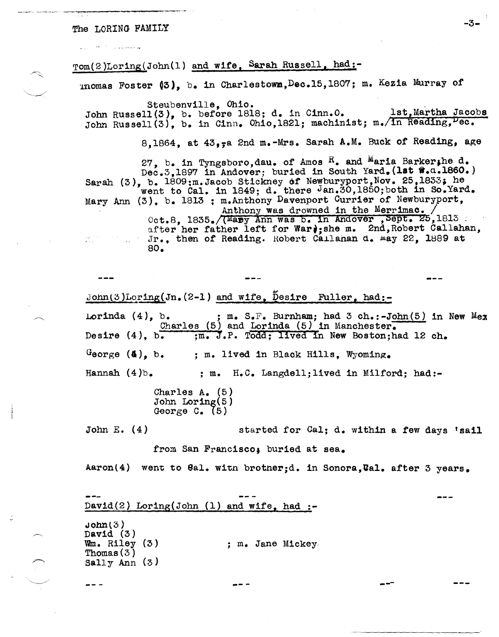## The LORING FAMILY  $-3-$

v

/--..

 $\smile$  ,  $\smile$ 

Tom(2)Loring(John(1) and wife, Sarah Russell, had:-

~nomas Foster 03), b. 1n Charlestowm,Dec.15,1807; m. Kez1a Murray *ot* 

Steubenv1lle, Ohio. John Russell(3), b. before 1818; d. in Cinn.O. lst, Martha Jacobs John Russell(3), b. in Cinn. Ohio,1821; machinist; m.  $\overline{\ln}$  Reading,  $\overline{\ln}$ 

8,1864, at  $43$ , a 2nd m.-Mrs. Sarah A.M. Buck of Reading, age

27, b. in Tyngsboro, dau. of Amos  $R_$ . and Maria Barker, he d. Dec.3,1897 in Andover; buried in South Yard. (1st #.a.1860.) Sarah (3), b. 1809:m.Jacob Stickney of Newburyport, Nov. 25, 1833; he went to Cal. in 1849; d. there Jan.30,1850; both in So.Yard. Mary Ann (3). b. 1813 ; m.Anthony Davenport Currier of Newburyport, Anthony was drowned in the Merrimac.  $0ct.8$ ,  $1835.$ /(Mary Ann was b. In Andover , Sept. 25,1813 after her father left for Warj;she m. 2nd, Robert Callahan, Jr., then of Reading. Robert Callahan d. may 22, 1889 at artija.<br>Geografi  $\sim 10^{10}$  M  $_{\odot}$ 80.

John(3)Loring(Jn.(2-1) and wife, Desire Fuller, had:-Lorinda  $(4)$ , b. ; m. S.F. Burnham; had 3 ch.:-John(5) in New Mex Charles (5) and Lorinda (5) in Manchester.<br>Desire (4). b.  $\frac{m}{m}$ . J.P. Todd; lived in New Boston;h ;m. J.P. Todd; lived in New Boston;had 12 ch. George  $(4)$ , b. Hannah  $(4)$ b. ; m. lived in Black Hills. Wyoming. ; m. H.C. Langdell;11ved 1n Milford; had:-

Charles A. (5) John Loring(5)<br>George C. (5)

John E. (4) started for Cal; d. within a few days 'sail

from San Francisco, buried at sea.

Aaron(4) went to Gal. with brother;d. in Sonora, Val. after 3 years.

 $David(2)$  Loring(John (1) and wife, had :- $John(3)$ David (3)<br>Wm. Riley (3)  $W_m$ . Riley (3)  $\hspace{1cm}$  ; m. Jane Mickey-<br>Thomas (3) Sally Ann (3 ) -- - ---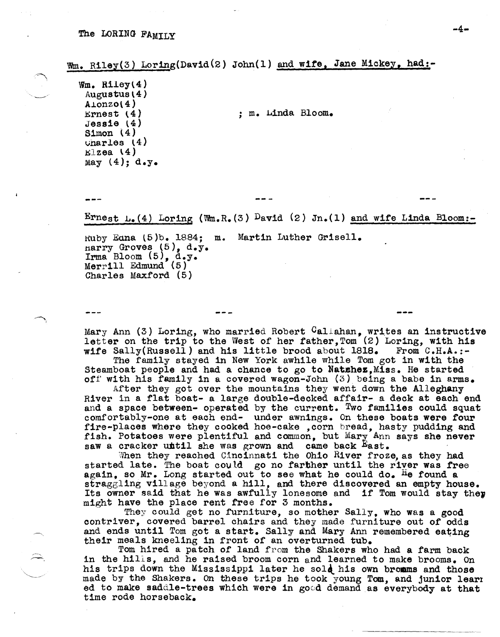Wm. Riley(3) Loring(David(2) John(1) and wife, Jane Mickey, had:-

 $Wm.$  Riley(4) Augustus $(4)$  $A1$ ... $O(4)$  $E$ rnest  $(4)$ Jessie l4) Simon (4)  $v$ narles  $(4)$  $E1z$ ea (4) May  $(4)$ ; d.y.

Ernest  $L_{\bullet}(4)$  Loring (Wm.R.(3) David (2) Jn.(1) and wife Linda Bloom:-

, • m. Linda Bloom.

Kuby Eana (5)b. 1884; m. Martin Luther Grisell. narry Groves (5), d.y. Irma Bloom (5), d.y. Merrill Edmund (5) Charles Maxford (5)

Mary Ann (3) Loring, who married Robert Callahan, writes an instructive letter on the trip to the West of her father, Tom (2) Loring, with his wife Sally(Russell) and his little brood about 1818. From C.H.A.:-

The family stayed in New York awhile while Tom got in with the Steamboat people and had a chance to go to Natshez, Miss. He started off' with his family in a covered wagon-John (3) being a babe in arms.

After they got over the mountains they went down the Alleghany River in a flat boat- a large double-decked affair- a deck at each end and a space between- operated by the current. Two families could squat comfortably-one at each end- under awnings. On these boats were four fire-places where they cooked hoe-cake , corn bread, hasty pudding and fish. Potatoes were plentiful and common, but Mary, Ann says she never saw a cracker until she was grown and came back East.

When they reached Cincinnati the Ohio River froze, as they had started late. The boat could go no farther until the river was free again, so Mr. Long started out to see what he could do. He found a straggling village beyond a hill, and there discovered an empty house. Its owner said that he was awfully lonesome and if Tom would stay they might have the place rent free for 3 months.

They could get no furniture, so mother Sally, who was a good contriver, covered barrel chairs and they made furniture out of odds and ends until Tom got a start. Sally and Mary Ann remembered eating their meals kneeling in front of an overturned tub.

Tom hired a patch of land from the Shakers who had a farm back in the hilis, and he raised broom corn and learned to make brooms. On his trips down the Mississippi later he sold his own bromms and those made by the Shakers. On these trips he took young Tom, and junior lear! ed to make saddle-trees which were in good demand as everybody at that time rode horseback.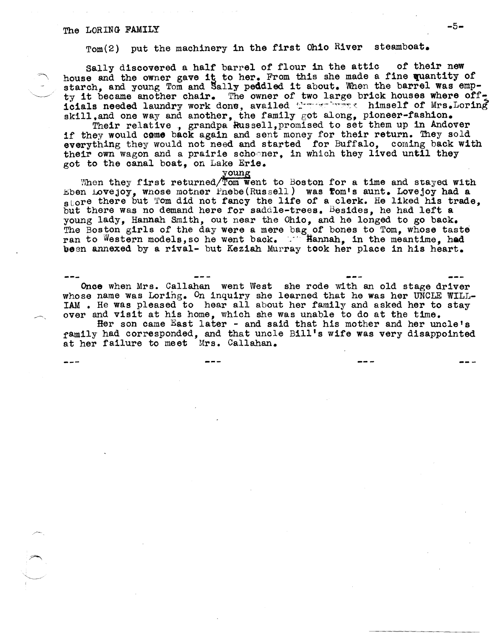## The LORING FAMILY  $-5-$

Tom(2) put the machinery in the first Ohio River steamboat.

sally discovered a half barrel of flour in the attic of their new house and the owner gave it to her. From this she made a fine quantity of starch, and young Tom and Sally peddled it about. When the barrel was empty it became another chair. The owner of two large brick houses where officials needed laundry work done, availed  $\mathbb{C}$  with the himself of Mrs.Loring skill, and one way and another, the family got along, pioneer-fashion.

Their relative, grandpa Russell, promised to set them up in Andover if they would come back again and sent money for their return. They sold everything they would not need and started for Buffalo, coming back with their own wagon and a prairie schosner, in which they lived until they got to the canal boat, on Lake Erie.<br>young

When they first returned/ Tom went to Boston for a time and stayed with Eben Lovejoy, whose mother  $Pnebe(Russell)$  was fom's aunt. Lovejoy had a store there but Tom did not fancy the life of a clerk. He liked his trade. but there was no demand here for saddle-trees. Besides, he had left a young lady, Hannah Smith, out near the OhiO, and he longed to go back. The Boston girls of the day were a mere bag.of bones to Tom, whose taste ran to Western models, so he went back. "Hannah, in the meantime, had been annexed by a rival- but Keziah Murray took her place in his heart.

Once when Mrs. Callahan went West she rode with an old stage driver whose name was Loring. On inquiry she learned that he was her UNCLE WILL-IAM • He was pleased to hear all about her family and asked her to stay over and visit at his home, which she was unable to do at the time.

Her son came East later - and said that his mother and her uncle's family had corresponded, and that uncle Bill's wife was very disappointed at her failure to meet Mrs. Callahan.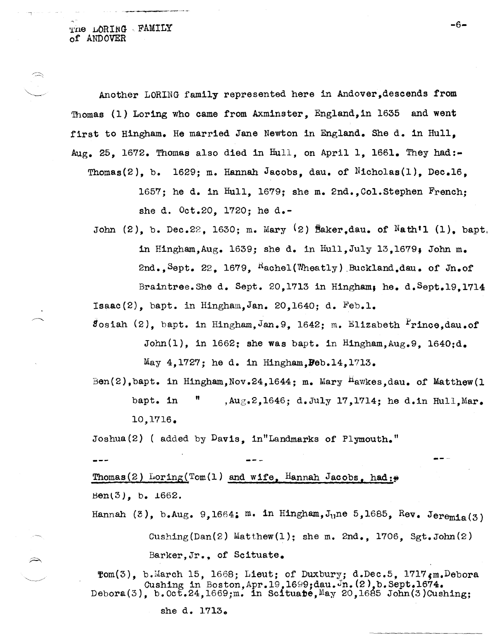THE LORING FAMILY of ANDOVER

Another LORING family represented here in Andover,descends from Thomas (1) Loring who came from Axminster, Eng1and,in 1635 and went first to Hingham. He married Jane Newton in England. She d. in Hull, Aug. 25, 1672. Thomas also died in Hull, on April 1, 1661. They had:-Thomas(2), b. 1629; m. Hannah Jacobs, dau. of Nicholas(1), Dec.16,

1657; he d. in Hull, 1679; she m.  $2nd.$ , Col.Stephen French; she d. Oct.20, 1720; he d.-

John  $(2)$ , b. Dec.22, 1630; m. Mary  $(2)$  Baker,dau. of Nath'l  $(1)$ , bapt. in Hingham,Aug. 1639; she d. in Hu11,Ju1y 13,1679, John m. 2nd., Sept. 22.  $1679$ , Rachel(Wheatly) Buckland.dau. of Jn.of Braintree.She d. Sept. 20,1713 in Hingham, he. d. Sept.19,1714

 $Isaac(2)$ , bapt. in Hingham, Jan. 20, 1640; d. Feb.1.

 $s$ osiah (2), bapt. in Hingham, Jan. 9, 1642; m. Elizabeth Prince, dau.of John(1), in 1662; she was bapt. in Hingham,  $\text{Aug, 9}$ , 1640; $\text{d}_\bullet$ May 4,1727; he d. in Hingham,Beb.14,1713.

Ben(2), bapt. in Hingham, Nov. 24, 1644; m. Mary <sup>H</sup>awkes, dau. of Matthew(1) bapt. in  $\mathfrak{m}$ , Aug.2,1646; d.July 17,1714; he d.in Hull, Mar. 10,1716.

Joshua(2) ( added by Davis, in"Landmarks of Plymouth."

Thomas(2) Loring(Tom(1) and wife, Hannah Jacobs, had: $\varphi$  $Ben(3)$ , b.  $1662$ .

Hannah  $(3)$ , b.Aug. 9,1664: m. in Hingham, J<sub>u</sub>ne 5,1685, Rev. Jeremia(3) Cushing(Dan(2) Matthew(1); she m.  $2nd.$ , 1706, Sgt.John(2) Barker,Jr., of Scituate.

 $\texttt{Tom}(3)$ , b.March 15, 1668; Lieut; of Duxbury; d.Dec.5, 1717 $\texttt{gm}$ .Debora Cushing in Boston, Apr. 19, 1699;dau.Jn. (2), b. Sept. 1674. Debora(3), b. Oct.24, 1669;m. in Scituabe, May 20, 1685 John(3)Cushing;

she d. 1713.

-6-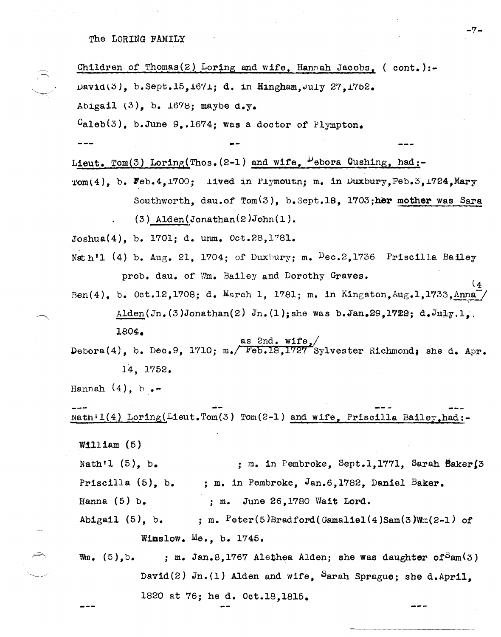The LORING FAMILY

Children of Thomas(2) Loring and wife, Hannah Jacobs, (  $\text{cont.}$  ):-David $(3)$ , b.Sept.15,1671; d. in Hingham, July 27,1752. Abigail  $(3)$ . b.  $1678$ ; maybe d.y.  $C_{\text{aleb}}(3)$ , b.June 9,.1674; was a doctor of Plympton. Lieut. Tom(3) Loring(Thos.  $(2-1)$  and wife,  $\frac{D}{2}$ ebora Cushing, had:- $Tom(4)$ , b. Feb.4,1700; lived in Plymoutn; m. in Duxbury, Feb.3,1724, Mary Southworth, dau.of  $Tom(3)$ , b.Sept.18, 1703;her mother was Sara (3) Alden(Jonathan(2)John(1). Joshua(4), b. 1701; d. unm. Oct.28,1'781. Nath<sup>'</sup>1 (4) b. Aug. 21, 1704; of Duxbury; m.  $Dec.2.1736$  Priscilla Bailey prob. dau. of Wm. Bailey and Dorothy Graves. Ben(4), b. Oct.12,1708; d. March 1, 1781; m. in Kingston, Aug.1,1733, Anna Alden(Jn.(3)Jonathan(2) Jn.(1); she was b.Jan.29.1722; d.July.l. 1804. as 2nd. wife,/ Debora(4), b. Dec.9, 1710; m./ Feb.18,1727 Sylvester Richmond; she d. Apr. 14, 1752. Hannah  $(4)$ , b. Natn <sup>i</sup> l(4) Loring(Lieut.Tom(3) Tom(2-1) and wife, Priscilla Bai1ey,had:- William  $(5)$ Nath'l  $(5)$ , b. Priscilla (5), b. Hanna (5) b. Abigail  $(5)$ , b. ; m. in Pembroke, Sept.l,1771, Sarah Bakerl3 ; m. in Pembroke, Jan.6,l782, Daniel Baker. ; m. June 26,1780 Wait Lord. ; m.  $Peter(5)Bradford(Gamaliel(4)Sam(3)Wm(2-1) of$ Wimslow. Me., b. 1745.

Wm.  $(5)$ , b. ; m. Jan.8,1767 Alethea Alden; she was daughter of  $Sam(3)$ David(2)  $Jn.(1)$  Alden and wife, Sarah Sprague; she d.April. 1820 at 76; he d. Oct.18,18l5. ---

-7-

 $(4)$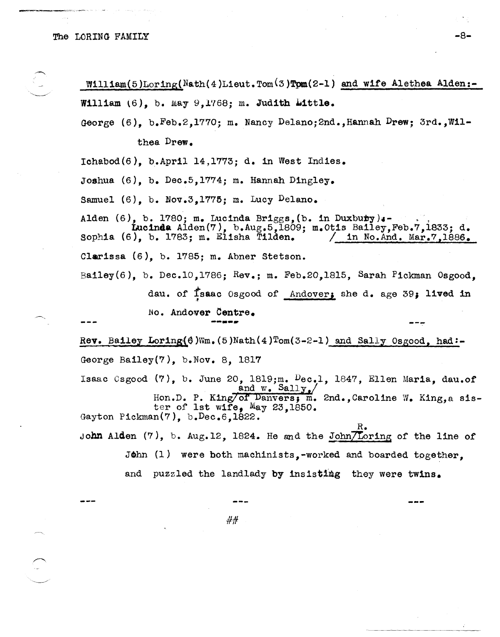William(5)Loring(Nath(4)Lieut.Tom(3)Tom(2-1) and wife Alethea Alden:-William  $(6)$ , b. May  $9,1768$ ; m. Judith Little.

George (6), b.Feb.2,1770; m. Nancy Delano;2nd.,Hannah Drew; 3rd.,W1l-

thea Drew.

 $Ichabod(6)$ , b.April 14,1773; d. in West Indies.

Joshua (6), b. Dec.5,1774; m. Hannah D1ngley.

Samuel  $(6)$ , b. Nov.3,1775; m. Lucy Delano.

Alden  $(6)$ , b. 1780; m. Lucinda Briggs, (b. in Duxbuty). Lucinda A1den(7), b.Aug.5,1809; m.Otis Ba11ey,Feb.7,1833; d. sophia  $(6)$ , b. 1783; m. Elisha Tilden. Clarissa (6), b. 1785; m. Abner Stetson. Bailey(6), b. Dec.l0,1786; Rev.; m. Feb.20,1815, Sarah Pickman Osgood, dau. of Isaac Osgood of Andover; she d. age 39; lived in

No. Andover Centre • **.........** 

Rev. Bailey Loring( $\theta$ )Wm.(5)Nath(4)Tom(3-2-l) and Sally Osgood, had:-George Bailey(7), b.Nov. 8, 1817

Isaac Csgood (7), b. June *20,* 1819;m. Dec.l, 1847, Ellen Maria, dau.of and w. Sall, Hon.D. P. King/of Danvers; m. 2nd., Caroline W. King, a sister of 1st wife, May *23,1850.*  Gayton Pickman(7), b.Dec.6,l822.

R. John Alden  $(7)$ , b. Aug.12, 1824. He and the John/Loring of the line of

John (1) were both machinists,-worked and boarded together,

and puzzled the landlady by insisting they were twins.